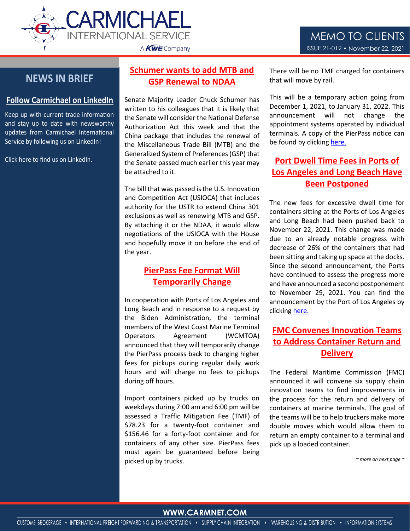

2019==21



## **Follow Carmichael on LinkedIn**

Keep up with current trade information and stay up to date with newsworthy updates from Carmichael International Service by following us on LinkedIn!

[Click here](https://www.linkedin.com/company/carmichael-international-service/) to find us on LinkedIn.

## **NEWS IN BRIEF GSP Renewal to NDAA There will be a set of that will move Schumer wants to add MTB and**

Senate Majority Leader Chuck Schumer has written to his colleagues that it is likely that the Senate will consider the National Defense Authorization Act this week and that the China package that includes the renewal of the Miscellaneous Trade Bill (MTB) and the Generalized System of Preferences (GSP) that the Senate passed much earlier this year may be attached to it.

The bill that was passed is the U.S. Innovation and Competition Act (USIOCA) that includes authority for the USTR to extend China 301 exclusions as well as renewing MTB and GSP. By attaching it or the NDAA, it would allow negotiations of the USIOCA with the House and hopefully move it on before the end of the year.

## **PierPass Fee Format Will Temporarily Change**

In cooperation with Ports of Los Angeles and Long Beach and in response to a request by the Biden Administration, the terminal members of the West Coast Marine Terminal Operators Agreement (WCMTOA) announced that they will temporarily change the PierPass process back to charging higher fees for pickups during regular daily work hours and will charge no fees to pickups during off hours.

Import containers picked up by trucks on weekdays during 7:00 am and 6:00 pm will be assessed a Traffic Mitigation Fee (TMF) of \$78.23 for a twenty-foot container and \$156.46 for a forty-foot container and for containers of any other size. PierPass fees must again be guaranteed before being picked up by trucks.

There will be no TMF charged for containers that will move by rail.

This will be a temporary action going from December 1, 2021, to January 31, 2022. This announcement will not change the appointment systems operated by individual terminals. A copy of the PierPass notice can be found by clickin[g here.](https://www.pierpass.org/news/tmf-at-ports-of-los-angeles-and-long-beach-to-increase-4-2-on-august-1-2-3/)

# **Port Dwell Time Fees in Ports of Los Angeles and Long Beach Have Been Postponed**

The new fees for excessive dwell time for containers sitting at the Ports of Los Angeles and Long Beach had been pushed back to November 22, 2021. This change was made due to an already notable progress with decrease of 26% of the containers that had been sitting and taking up space at the docks. Since the second announcement, the Ports have continued to assess the progress more and have announced a second postponement to November 29, 2021. You can find the announcement by the Port of Los Angeles by clicking [here.](https://www.portoflosangeles.org/references/2021-news-releases/news_111521_dwelpostpone)

# **FMC Convenes Innovation Teams to Address Container Return and Delivery**

The Federal Maritime Commission (FMC) announced it will convene six supply chain innovation teams to find improvements in the process for the return and delivery of containers at marine terminals. The goal of the teams will be to help truckers make more double moves which would allow them to return an empty container to a terminal and pick up a loaded container.

*~ more on next page ~*

## WWW.CARMENT.COOM **WWW.CARMNET.COM**